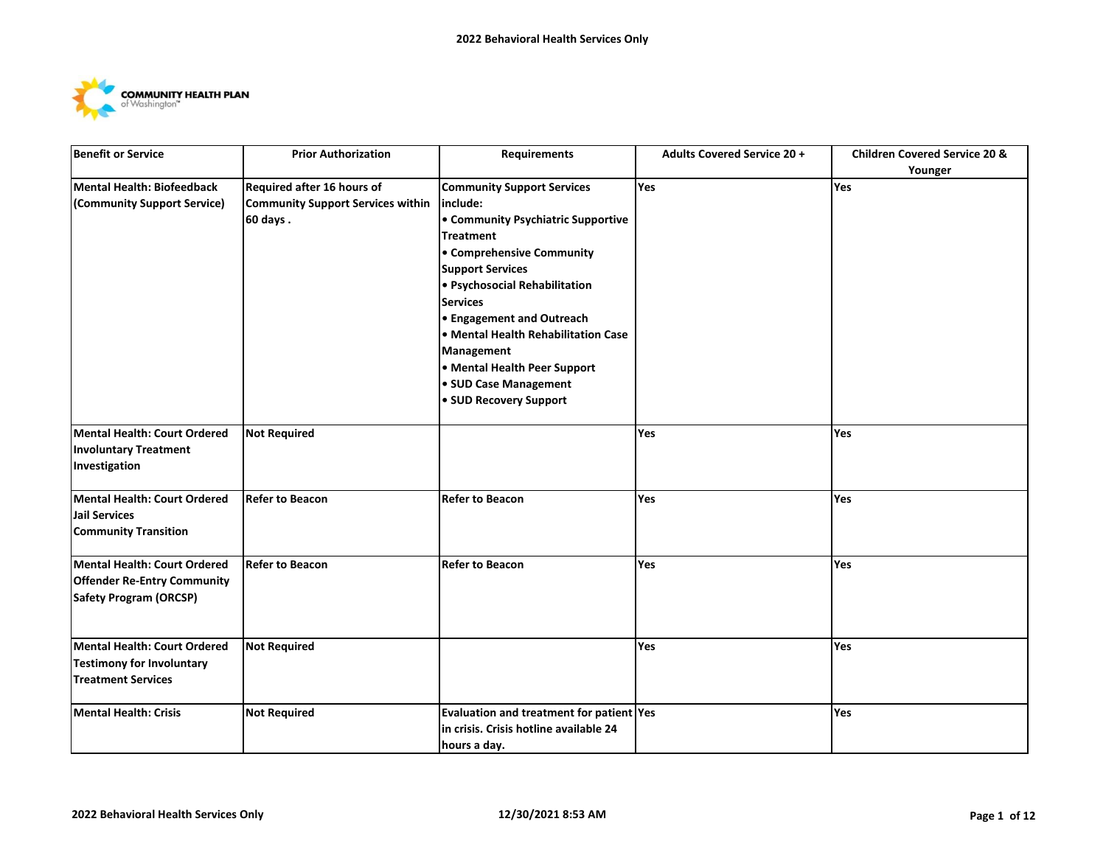

| <b>Benefit or Service</b>          | <b>Prior Authorization</b>               | <b>Requirements</b>                      | <b>Adults Covered Service 20 +</b> | <b>Children Covered Service 20 &amp;</b> |
|------------------------------------|------------------------------------------|------------------------------------------|------------------------------------|------------------------------------------|
|                                    |                                          |                                          |                                    | Younger                                  |
| Mental Health: Biofeedback         | Required after 16 hours of               | <b>Community Support Services</b>        | Yes                                | Yes                                      |
| (Community Support Service)        | <b>Community Support Services within</b> | include:                                 |                                    |                                          |
|                                    | 60 days.                                 | • Community Psychiatric Supportive       |                                    |                                          |
|                                    |                                          | <b>Treatment</b>                         |                                    |                                          |
|                                    |                                          | • Comprehensive Community                |                                    |                                          |
|                                    |                                          | <b>Support Services</b>                  |                                    |                                          |
|                                    |                                          | · Psychosocial Rehabilitation            |                                    |                                          |
|                                    |                                          | <b>Services</b>                          |                                    |                                          |
|                                    |                                          | • Engagement and Outreach                |                                    |                                          |
|                                    |                                          | • Mental Health Rehabilitation Case      |                                    |                                          |
|                                    |                                          | Management                               |                                    |                                          |
|                                    |                                          | • Mental Health Peer Support             |                                    |                                          |
|                                    |                                          | • SUD Case Management                    |                                    |                                          |
|                                    |                                          | • SUD Recovery Support                   |                                    |                                          |
|                                    |                                          |                                          |                                    |                                          |
| Mental Health: Court Ordered       | <b>Not Required</b>                      |                                          | <b>Yes</b>                         | Yes                                      |
| <b>Involuntary Treatment</b>       |                                          |                                          |                                    |                                          |
| Investigation                      |                                          |                                          |                                    |                                          |
|                                    |                                          |                                          |                                    |                                          |
| Mental Health: Court Ordered       | <b>Refer to Beacon</b>                   | Refer to Beacon                          | Yes                                | Yes                                      |
| <b>Jail Services</b>               |                                          |                                          |                                    |                                          |
| <b>Community Transition</b>        |                                          |                                          |                                    |                                          |
|                                    |                                          |                                          |                                    |                                          |
| Mental Health: Court Ordered       | <b>Refer to Beacon</b>                   | Refer to Beacon                          | Yes                                | Yes                                      |
| <b>Offender Re-Entry Community</b> |                                          |                                          |                                    |                                          |
| Safety Program (ORCSP)             |                                          |                                          |                                    |                                          |
|                                    |                                          |                                          |                                    |                                          |
|                                    |                                          |                                          |                                    |                                          |
| Mental Health: Court Ordered       | <b>Not Required</b>                      |                                          | Yes                                | Yes                                      |
| Testimony for Involuntary          |                                          |                                          |                                    |                                          |
| <b>Treatment Services</b>          |                                          |                                          |                                    |                                          |
| <b>Mental Health: Crisis</b>       | <b>Not Required</b>                      | Evaluation and treatment for patient Yes |                                    | Yes                                      |
|                                    |                                          | in crisis. Crisis hotline available 24   |                                    |                                          |
|                                    |                                          | hours a day.                             |                                    |                                          |
|                                    |                                          |                                          |                                    |                                          |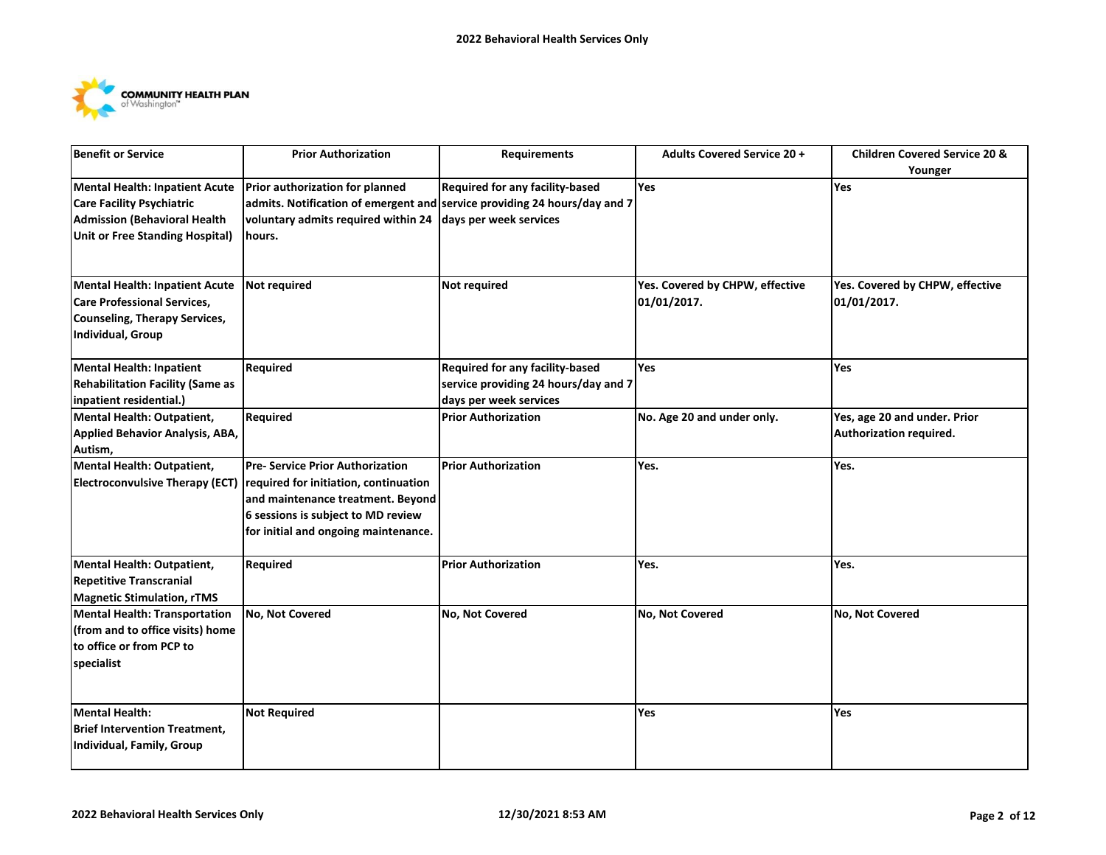

| <b>Benefit or Service</b>                                          | <b>Prior Authorization</b>              | <b>Requirements</b>                                                                                          | <b>Adults Covered Service 20 +</b> | <b>Children Covered Service 20 &amp;</b><br>Younger |
|--------------------------------------------------------------------|-----------------------------------------|--------------------------------------------------------------------------------------------------------------|------------------------------------|-----------------------------------------------------|
| Mental Health: Inpatient Acute<br><b>Care Facility Psychiatric</b> | Prior authorization for planned         | Required for any facility-based<br>admits. Notification of emergent and service providing 24 hours/day and 7 | Yes                                | Yes                                                 |
| <b>Admission (Behavioral Health</b>                                | voluntary admits required within 24     | days per week services                                                                                       |                                    |                                                     |
| Unit or Free Standing Hospital)                                    | hours.                                  |                                                                                                              |                                    |                                                     |
|                                                                    |                                         |                                                                                                              |                                    |                                                     |
| Mental Health: Inpatient Acute                                     | <b>Not required</b>                     | Not required                                                                                                 | Yes. Covered by CHPW, effective    | Yes. Covered by CHPW, effective                     |
| <b>Care Professional Services,</b>                                 |                                         |                                                                                                              | 01/01/2017.                        | 01/01/2017.                                         |
| Counseling, Therapy Services,                                      |                                         |                                                                                                              |                                    |                                                     |
| Individual, Group                                                  |                                         |                                                                                                              |                                    |                                                     |
| Mental Health: Inpatient                                           | Required                                | Required for any facility-based                                                                              | Yes                                | Yes                                                 |
| <b>Rehabilitation Facility (Same as</b>                            |                                         | service providing 24 hours/day and 7                                                                         |                                    |                                                     |
| inpatient residential.)                                            |                                         | days per week services                                                                                       |                                    |                                                     |
| Mental Health: Outpatient,                                         | Required                                | <b>Prior Authorization</b>                                                                                   | No. Age 20 and under only.         | Yes, age 20 and under. Prior                        |
| Applied Behavior Analysis, ABA,                                    |                                         |                                                                                                              |                                    | Authorization required.                             |
| Autism,                                                            |                                         |                                                                                                              |                                    |                                                     |
| Mental Health: Outpatient,                                         | <b>Pre- Service Prior Authorization</b> | <b>Prior Authorization</b>                                                                                   | Yes.                               | Yes.                                                |
| <b>Electroconvulsive Therapy (ECT)</b>                             | required for initiation, continuation   |                                                                                                              |                                    |                                                     |
|                                                                    | and maintenance treatment. Beyond       |                                                                                                              |                                    |                                                     |
|                                                                    | 6 sessions is subject to MD review      |                                                                                                              |                                    |                                                     |
|                                                                    | for initial and ongoing maintenance.    |                                                                                                              |                                    |                                                     |
| Mental Health: Outpatient,                                         | <b>Required</b>                         | <b>Prior Authorization</b>                                                                                   | Yes.                               | Yes.                                                |
| <b>Repetitive Transcranial</b>                                     |                                         |                                                                                                              |                                    |                                                     |
| <b>Magnetic Stimulation, rTMS</b>                                  |                                         |                                                                                                              |                                    |                                                     |
| Mental Health: Transportation                                      | No, Not Covered                         | No, Not Covered                                                                                              | No, Not Covered                    | No, Not Covered                                     |
| (from and to office visits) home                                   |                                         |                                                                                                              |                                    |                                                     |
| to office or from PCP to                                           |                                         |                                                                                                              |                                    |                                                     |
| specialist                                                         |                                         |                                                                                                              |                                    |                                                     |
|                                                                    |                                         |                                                                                                              |                                    |                                                     |
| <b>Mental Health:</b>                                              | <b>Not Required</b>                     |                                                                                                              | <b>Yes</b>                         | Yes                                                 |
| <b>Brief Intervention Treatment,</b>                               |                                         |                                                                                                              |                                    |                                                     |
| Individual, Family, Group                                          |                                         |                                                                                                              |                                    |                                                     |
|                                                                    |                                         |                                                                                                              |                                    |                                                     |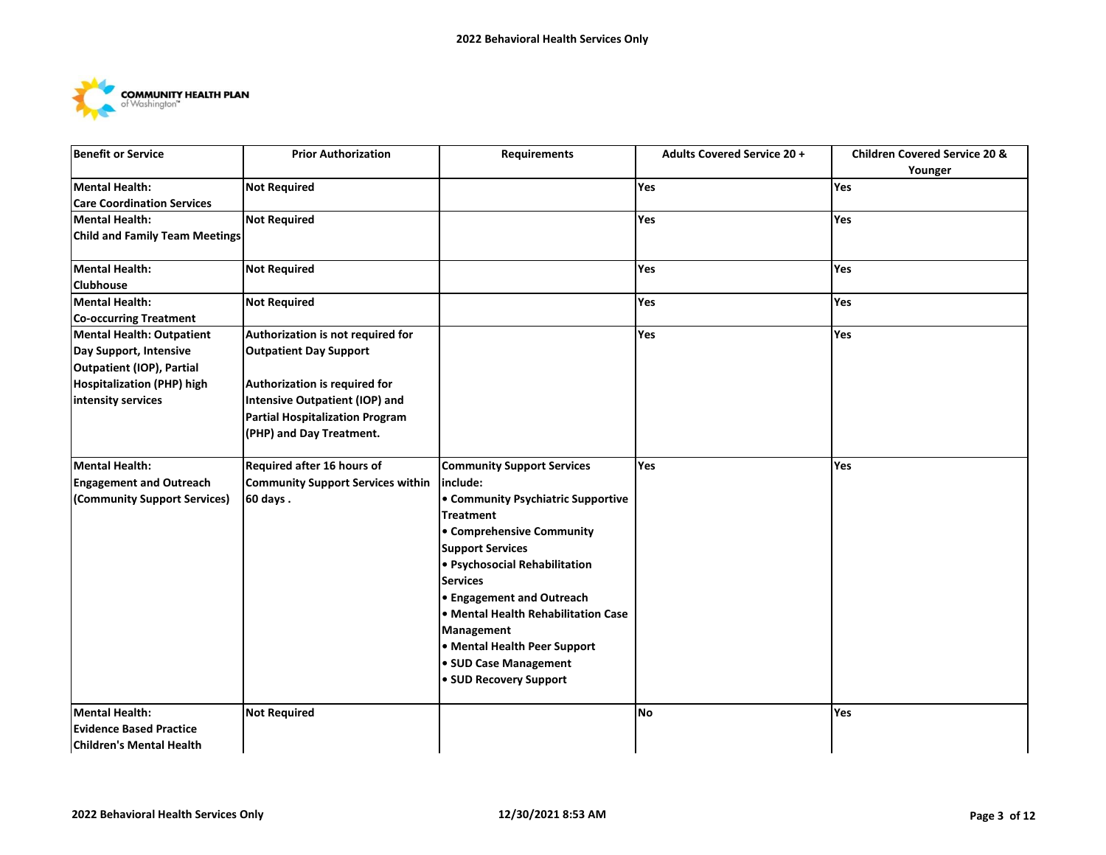

| <b>Benefit or Service</b>             | <b>Prior Authorization</b>               | <b>Requirements</b>                 | <b>Adults Covered Service 20 +</b> | <b>Children Covered Service 20 &amp;</b><br>Younger |
|---------------------------------------|------------------------------------------|-------------------------------------|------------------------------------|-----------------------------------------------------|
| Mental Health:                        | <b>Not Required</b>                      |                                     | Yes                                | Yes                                                 |
| <b>Care Coordination Services</b>     |                                          |                                     |                                    |                                                     |
| <b>Mental Health:</b>                 | <b>Not Required</b>                      |                                     | Yes                                | Yes                                                 |
| <b>Child and Family Team Meetings</b> |                                          |                                     |                                    |                                                     |
| Mental Health:                        | <b>Not Required</b>                      |                                     | Yes                                | Yes                                                 |
| <b>Clubhouse</b>                      |                                          |                                     |                                    |                                                     |
| <b>Mental Health:</b>                 | <b>Not Required</b>                      |                                     | Yes                                | Yes                                                 |
| <b>Co-occurring Treatment</b>         |                                          |                                     |                                    |                                                     |
| <b>Mental Health: Outpatient</b>      | Authorization is not required for        |                                     | Yes                                | Yes                                                 |
| Day Support, Intensive                | <b>Outpatient Day Support</b>            |                                     |                                    |                                                     |
| <b>Outpatient (IOP), Partial</b>      |                                          |                                     |                                    |                                                     |
| <b>Hospitalization (PHP) high</b>     | Authorization is required for            |                                     |                                    |                                                     |
| intensity services                    | <b>Intensive Outpatient (IOP) and</b>    |                                     |                                    |                                                     |
|                                       | <b>Partial Hospitalization Program</b>   |                                     |                                    |                                                     |
|                                       | (PHP) and Day Treatment.                 |                                     |                                    |                                                     |
| Mental Health:                        | Required after 16 hours of               | <b>Community Support Services</b>   | Yes                                | Yes                                                 |
| <b>Engagement and Outreach</b>        | <b>Community Support Services within</b> | include:                            |                                    |                                                     |
| (Community Support Services)          | 60 days.                                 | • Community Psychiatric Supportive  |                                    |                                                     |
|                                       |                                          | <b>Treatment</b>                    |                                    |                                                     |
|                                       |                                          | • Comprehensive Community           |                                    |                                                     |
|                                       |                                          | <b>Support Services</b>             |                                    |                                                     |
|                                       |                                          | · Psychosocial Rehabilitation       |                                    |                                                     |
|                                       |                                          | <b>Services</b>                     |                                    |                                                     |
|                                       |                                          | • Engagement and Outreach           |                                    |                                                     |
|                                       |                                          | • Mental Health Rehabilitation Case |                                    |                                                     |
|                                       |                                          | Management                          |                                    |                                                     |
|                                       |                                          | • Mental Health Peer Support        |                                    |                                                     |
|                                       |                                          | • SUD Case Management               |                                    |                                                     |
|                                       |                                          | • SUD Recovery Support              |                                    |                                                     |
| Mental Health:                        | <b>Not Required</b>                      |                                     | <b>No</b>                          | Yes                                                 |
| <b>Evidence Based Practice</b>        |                                          |                                     |                                    |                                                     |
| <b>Children's Mental Health</b>       |                                          |                                     |                                    |                                                     |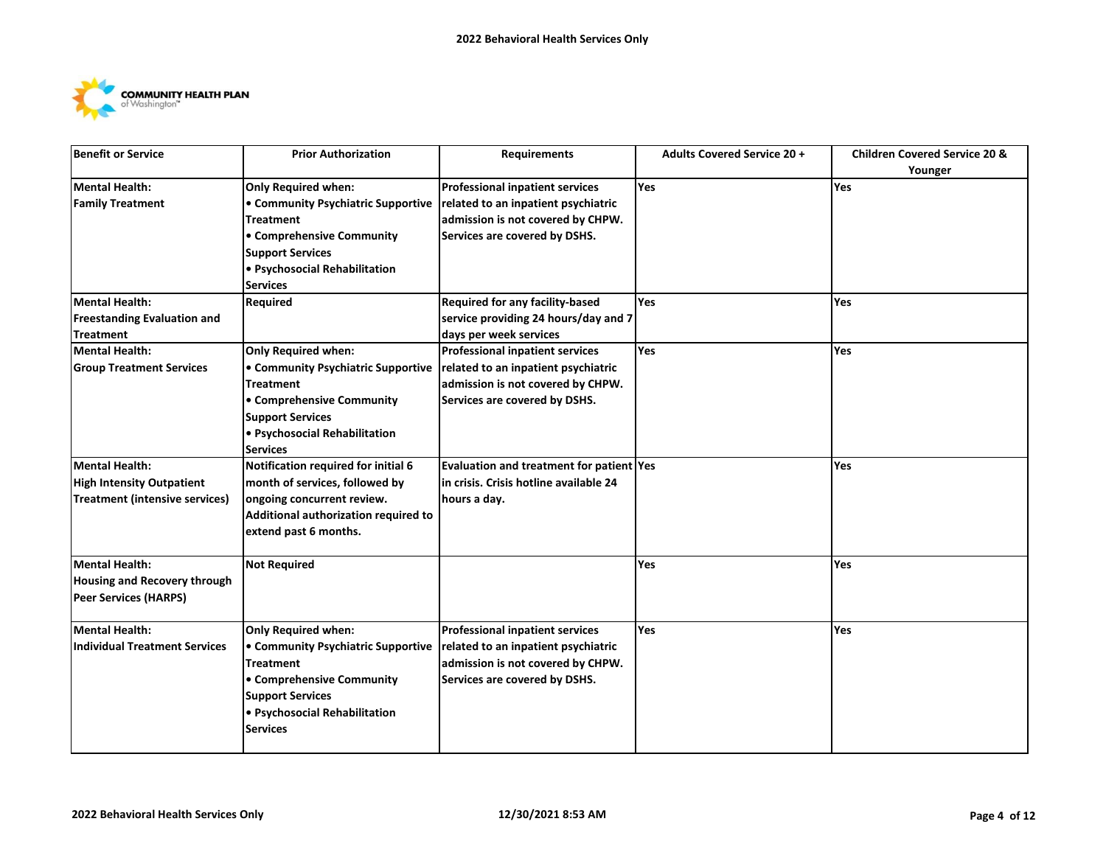

| <b>Benefit or Service</b>           | <b>Prior Authorization</b>           | <b>Requirements</b>                      | <b>Adults Covered Service 20 +</b> | <b>Children Covered Service 20 &amp;</b> |
|-------------------------------------|--------------------------------------|------------------------------------------|------------------------------------|------------------------------------------|
|                                     |                                      |                                          |                                    | Younger                                  |
| <b>Mental Health:</b>               | <b>Only Required when:</b>           | <b>Professional inpatient services</b>   | <b>Yes</b>                         | Yes                                      |
| <b>Family Treatment</b>             | • Community Psychiatric Supportive   | related to an inpatient psychiatric      |                                    |                                          |
|                                     | <b>Treatment</b>                     | admission is not covered by CHPW.        |                                    |                                          |
|                                     | • Comprehensive Community            | Services are covered by DSHS.            |                                    |                                          |
|                                     | <b>Support Services</b>              |                                          |                                    |                                          |
|                                     | · Psychosocial Rehabilitation        |                                          |                                    |                                          |
|                                     | <b>Services</b>                      |                                          |                                    |                                          |
| <b>Mental Health:</b>               | <b>Required</b>                      | Required for any facility-based          | Yes                                | Yes                                      |
| <b>Freestanding Evaluation and</b>  |                                      | service providing 24 hours/day and 7     |                                    |                                          |
| <b>Treatment</b>                    |                                      | days per week services                   |                                    |                                          |
| Mental Health:                      | <b>Only Required when:</b>           | <b>Professional inpatient services</b>   | Yes                                | Yes                                      |
| <b>Group Treatment Services</b>     | • Community Psychiatric Supportive   | related to an inpatient psychiatric      |                                    |                                          |
|                                     | <b>Treatment</b>                     | admission is not covered by CHPW.        |                                    |                                          |
|                                     | • Comprehensive Community            | Services are covered by DSHS.            |                                    |                                          |
|                                     | <b>Support Services</b>              |                                          |                                    |                                          |
|                                     | • Psychosocial Rehabilitation        |                                          |                                    |                                          |
|                                     | <b>Services</b>                      |                                          |                                    |                                          |
| <b>Mental Health:</b>               | Notification required for initial 6  | Evaluation and treatment for patient Yes |                                    | Yes                                      |
| <b>High Intensity Outpatient</b>    | month of services, followed by       | In crisis. Crisis hotline available 24   |                                    |                                          |
| Treatment (intensive services)      | ongoing concurrent review.           | hours a day.                             |                                    |                                          |
|                                     | Additional authorization required to |                                          |                                    |                                          |
|                                     | extend past 6 months.                |                                          |                                    |                                          |
| <b>Mental Health:</b>               | <b>Not Required</b>                  |                                          | Yes                                | Yes                                      |
| <b>Housing and Recovery through</b> |                                      |                                          |                                    |                                          |
| <b>Peer Services (HARPS)</b>        |                                      |                                          |                                    |                                          |
|                                     |                                      |                                          |                                    |                                          |
| <b>Mental Health:</b>               | <b>Only Required when:</b>           | Professional inpatient services          | Yes                                | Yes                                      |
| Individual Treatment Services       | • Community Psychiatric Supportive   | related to an inpatient psychiatric      |                                    |                                          |
|                                     | <b>Treatment</b>                     | admission is not covered by CHPW.        |                                    |                                          |
|                                     | • Comprehensive Community            | Services are covered by DSHS.            |                                    |                                          |
|                                     | <b>Support Services</b>              |                                          |                                    |                                          |
|                                     | · Psychosocial Rehabilitation        |                                          |                                    |                                          |
|                                     | <b>Services</b>                      |                                          |                                    |                                          |
|                                     |                                      |                                          |                                    |                                          |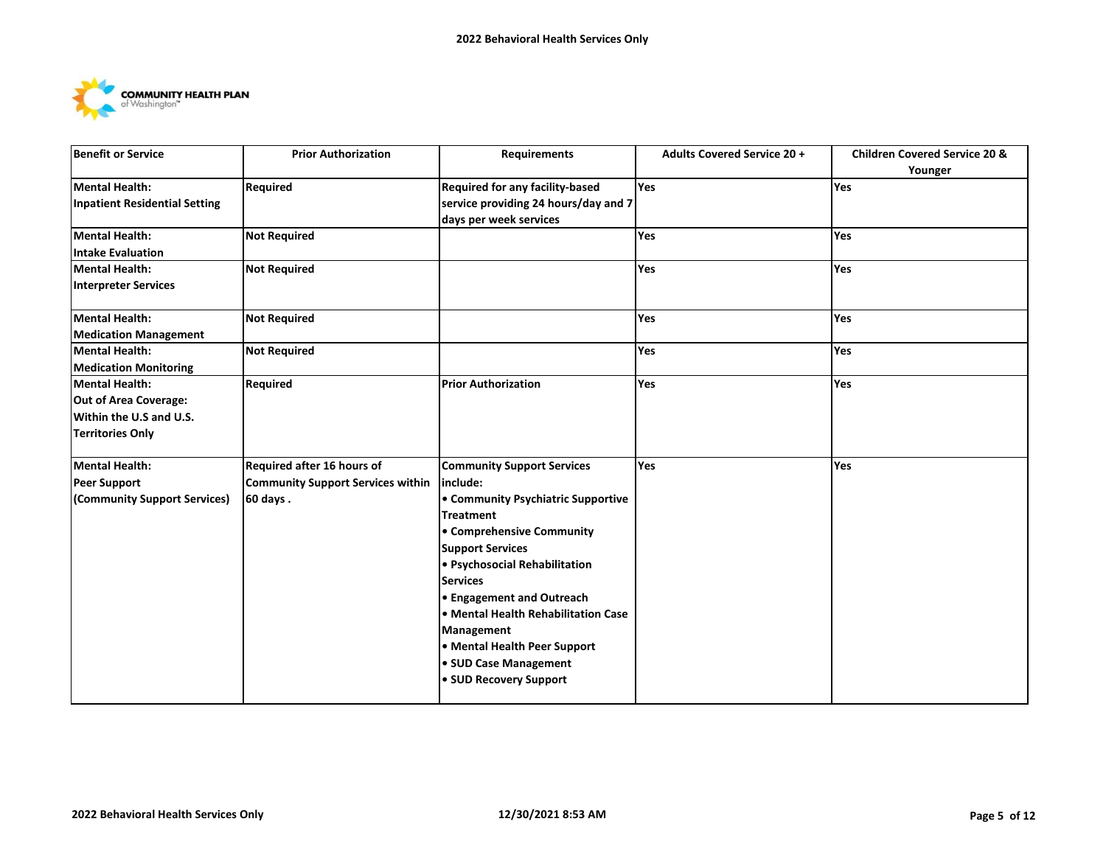

| Benefit or Service            | <b>Prior Authorization</b>               | <b>Requirements</b>                  | <b>Adults Covered Service 20 +</b> | <b>Children Covered Service 20 &amp;</b> |
|-------------------------------|------------------------------------------|--------------------------------------|------------------------------------|------------------------------------------|
|                               |                                          |                                      |                                    | Younger                                  |
| Mental Health:                | <b>Required</b>                          | Required for any facility-based      | <b>Yes</b>                         | <b>Yes</b>                               |
| Inpatient Residential Setting |                                          | service providing 24 hours/day and 7 |                                    |                                          |
|                               |                                          | days per week services               |                                    |                                          |
| <b>Mental Health:</b>         | <b>Not Required</b>                      |                                      | Yes                                | Yes                                      |
| <b>Intake Evaluation</b>      |                                          |                                      |                                    |                                          |
| <b>Mental Health:</b>         | <b>Not Required</b>                      |                                      | Yes                                | Yes                                      |
| <b>Interpreter Services</b>   |                                          |                                      |                                    |                                          |
| Mental Health:                | <b>Not Required</b>                      |                                      | Yes                                | Yes                                      |
| <b>Medication Management</b>  |                                          |                                      |                                    |                                          |
| Mental Health:                | <b>Not Required</b>                      |                                      | Yes                                | Yes                                      |
| <b>Medication Monitoring</b>  |                                          |                                      |                                    |                                          |
| Mental Health:                | Required                                 | <b>Prior Authorization</b>           | Yes                                | Yes                                      |
| Out of Area Coverage:         |                                          |                                      |                                    |                                          |
| Within the U.S and U.S.       |                                          |                                      |                                    |                                          |
| <b>Territories Only</b>       |                                          |                                      |                                    |                                          |
| Mental Health:                | Required after 16 hours of               | <b>Community Support Services</b>    | Yes                                | Yes                                      |
| Peer Support                  | <b>Community Support Services within</b> | include:                             |                                    |                                          |
| (Community Support Services)  | 60 days.                                 | • Community Psychiatric Supportive   |                                    |                                          |
|                               |                                          | <b>Treatment</b>                     |                                    |                                          |
|                               |                                          | • Comprehensive Community            |                                    |                                          |
|                               |                                          | <b>Support Services</b>              |                                    |                                          |
|                               |                                          | • Psychosocial Rehabilitation        |                                    |                                          |
|                               |                                          | <b>Services</b>                      |                                    |                                          |
|                               |                                          | <b>• Engagement and Outreach</b>     |                                    |                                          |
|                               |                                          | • Mental Health Rehabilitation Case  |                                    |                                          |
|                               |                                          | Management                           |                                    |                                          |
|                               |                                          | • Mental Health Peer Support         |                                    |                                          |
|                               |                                          | • SUD Case Management                |                                    |                                          |
|                               |                                          | • SUD Recovery Support               |                                    |                                          |
|                               |                                          |                                      |                                    |                                          |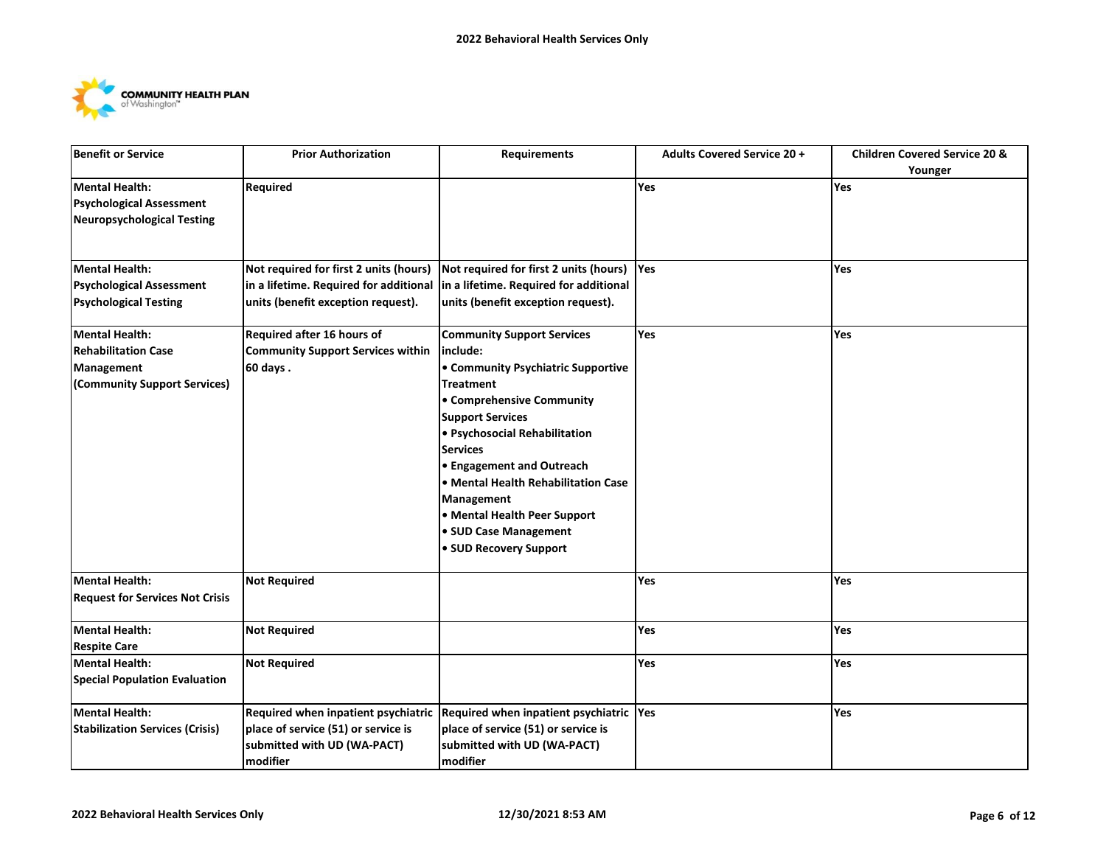

| <b>Benefit or Service</b>                                                                         | <b>Prior Authorization</b>                                                         | <b>Requirements</b>                                                                                                                                                                                                                                                                                                                                                                      | <b>Adults Covered Service 20 +</b> | <b>Children Covered Service 20 &amp;</b><br>Younger |
|---------------------------------------------------------------------------------------------------|------------------------------------------------------------------------------------|------------------------------------------------------------------------------------------------------------------------------------------------------------------------------------------------------------------------------------------------------------------------------------------------------------------------------------------------------------------------------------------|------------------------------------|-----------------------------------------------------|
| <b>Mental Health:</b><br><b>Psychological Assessment</b><br><b>Neuropsychological Testing</b>     | Required                                                                           |                                                                                                                                                                                                                                                                                                                                                                                          | Yes                                | Yes                                                 |
| <b>Mental Health:</b><br><b>Psychological Assessment</b><br><b>Psychological Testing</b>          | Not required for first 2 units (hours)<br>units (benefit exception request).       | Not required for first 2 units (hours)<br>in a lifetime. Required for additional in a lifetime. Required for additional<br>units (benefit exception request).                                                                                                                                                                                                                            | <b>Yes</b>                         | Yes                                                 |
| <b>Mental Health:</b><br><b>Rehabilitation Case</b><br>Management<br>(Community Support Services) | Required after 16 hours of<br><b>Community Support Services within</b><br>60 days. | <b>Community Support Services</b><br>include:<br>• Community Psychiatric Supportive<br><b>Treatment</b><br>• Comprehensive Community<br><b>Support Services</b><br>• Psychosocial Rehabilitation<br><b>Services</b><br>• Engagement and Outreach<br>• Mental Health Rehabilitation Case<br>Management<br>• Mental Health Peer Support<br>• SUD Case Management<br>• SUD Recovery Support | Yes                                | Yes                                                 |
| <b>Mental Health:</b><br><b>Request for Services Not Crisis</b>                                   | <b>Not Required</b>                                                                |                                                                                                                                                                                                                                                                                                                                                                                          | Yes                                | Yes                                                 |
| <b>Mental Health:</b><br><b>Respite Care</b>                                                      | <b>Not Required</b>                                                                |                                                                                                                                                                                                                                                                                                                                                                                          | Yes                                | Yes                                                 |
| <b>Mental Health:</b><br><b>Special Population Evaluation</b>                                     | <b>Not Required</b>                                                                |                                                                                                                                                                                                                                                                                                                                                                                          | Yes                                | Yes                                                 |
| <b>Mental Health:</b><br><b>Stabilization Services (Crisis)</b>                                   | place of service (51) or service is<br>submitted with UD (WA-PACT)<br>modifier     | Required when inpatient psychiatric Required when inpatient psychiatric Yes<br>place of service (51) or service is<br>submitted with UD (WA-PACT)<br>modifier                                                                                                                                                                                                                            |                                    | Yes                                                 |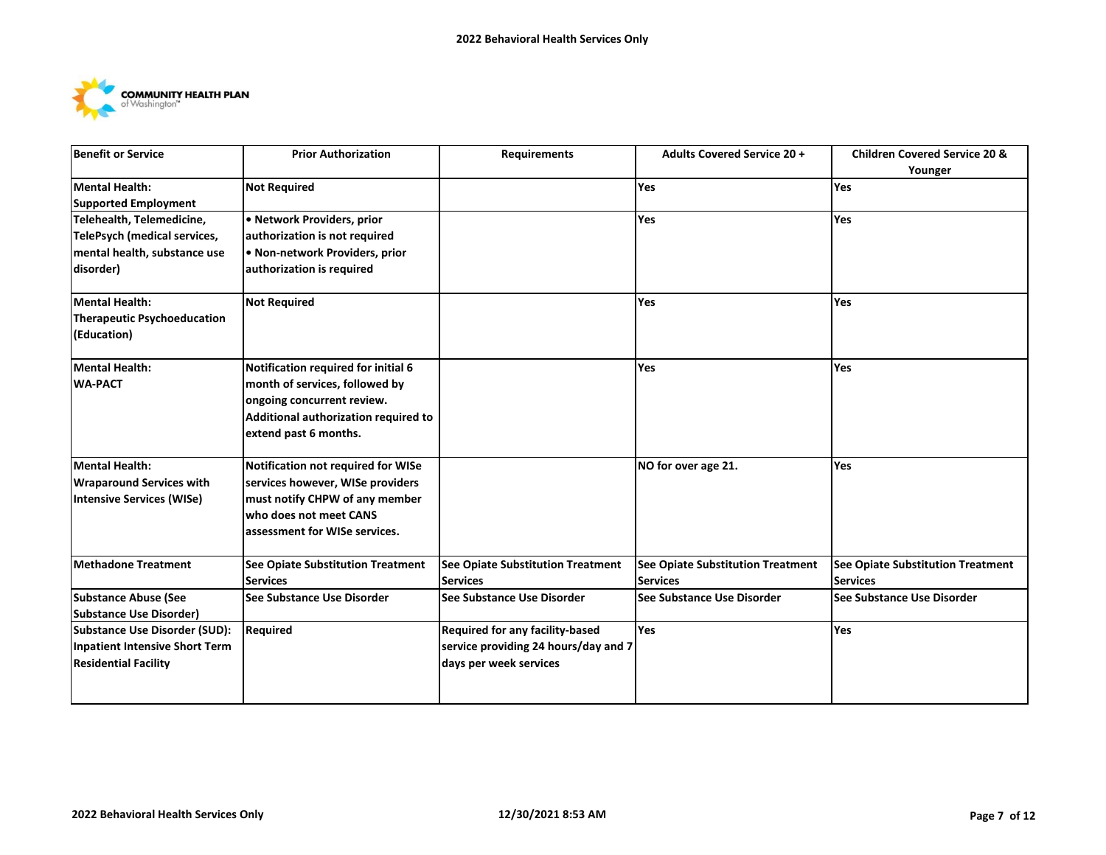

| <b>Benefit or Service</b>       | <b>Prior Authorization</b>               | <b>Requirements</b>                      | <b>Adults Covered Service 20 +</b> | <b>Children Covered Service 20 &amp;</b><br>Younger |
|---------------------------------|------------------------------------------|------------------------------------------|------------------------------------|-----------------------------------------------------|
| <b>Mental Health:</b>           | <b>Not Required</b>                      |                                          | Yes                                | Yes                                                 |
| Supported Employment            |                                          |                                          |                                    |                                                     |
| Telehealth, Telemedicine,       | • Network Providers, prior               |                                          | Yes                                | Yes                                                 |
| TelePsych (medical services,    | authorization is not required            |                                          |                                    |                                                     |
| mental health, substance use    | • Non-network Providers, prior           |                                          |                                    |                                                     |
| disorder)                       | authorization is required                |                                          |                                    |                                                     |
| Mental Health:                  | <b>Not Required</b>                      |                                          | <b>Yes</b>                         | Yes                                                 |
| Therapeutic Psychoeducation     |                                          |                                          |                                    |                                                     |
| (Education)                     |                                          |                                          |                                    |                                                     |
| <b>Mental Health:</b>           | Notification required for initial 6      |                                          | Yes                                | Yes                                                 |
| <b>WA-PACT</b>                  | month of services, followed by           |                                          |                                    |                                                     |
|                                 | ongoing concurrent review.               |                                          |                                    |                                                     |
|                                 | Additional authorization required to     |                                          |                                    |                                                     |
|                                 | extend past 6 months.                    |                                          |                                    |                                                     |
| <b>Mental Health:</b>           | Notification not required for WISe       |                                          | NO for over age 21.                | Yes                                                 |
| <b>Wraparound Services with</b> | services however, WISe providers         |                                          |                                    |                                                     |
| Intensive Services (WISe)       | must notify CHPW of any member           |                                          |                                    |                                                     |
|                                 | who does not meet CANS                   |                                          |                                    |                                                     |
|                                 | assessment for WISe services.            |                                          |                                    |                                                     |
| Methadone Treatment             | <b>See Opiate Substitution Treatment</b> | <b>See Opiate Substitution Treatment</b> | See Opiate Substitution Treatment  | See Opiate Substitution Treatment                   |
|                                 | <b>Services</b>                          | <b>Services</b>                          | <b>Services</b>                    | <b>Services</b>                                     |
| Substance Abuse (See            | See Substance Use Disorder               | See Substance Use Disorder               | See Substance Use Disorder         | See Substance Use Disorder                          |
| Substance Use Disorder)         |                                          |                                          |                                    |                                                     |
| Substance Use Disorder (SUD):   | <b>Required</b>                          | Required for any facility-based          | Yes                                | Yes                                                 |
| Inpatient Intensive Short Term  |                                          | service providing 24 hours/day and 7     |                                    |                                                     |
| <b>Residential Facility</b>     |                                          | days per week services                   |                                    |                                                     |
|                                 |                                          |                                          |                                    |                                                     |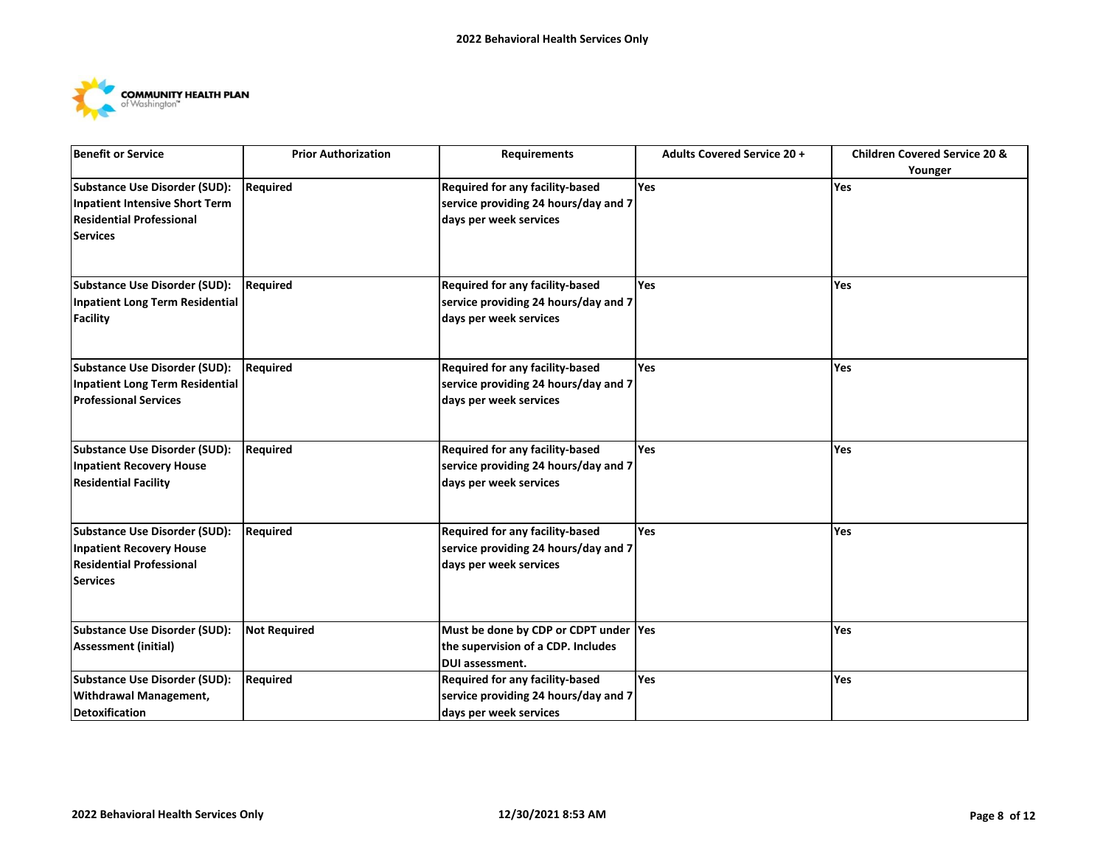

| <b>Benefit or Service</b>                                                                                             | <b>Prior Authorization</b> | <b>Requirements</b>                                                                               | <b>Adults Covered Service 20 +</b> | <b>Children Covered Service 20 &amp;</b><br>Younger |
|-----------------------------------------------------------------------------------------------------------------------|----------------------------|---------------------------------------------------------------------------------------------------|------------------------------------|-----------------------------------------------------|
| Substance Use Disorder (SUD):<br>Inpatient Intensive Short Term<br><b>Residential Professional</b><br><b>Services</b> | Required                   | Required for any facility-based<br>service providing 24 hours/day and 7<br>days per week services | Yes                                | <b>Yes</b>                                          |
| Substance Use Disorder (SUD):<br>Inpatient Long Term Residential<br><b>Facility</b>                                   | <b>Required</b>            | Required for any facility-based<br>service providing 24 hours/day and 7<br>days per week services | Yes                                | Yes                                                 |
| Substance Use Disorder (SUD):<br>Inpatient Long Term Residential<br><b>Professional Services</b>                      | Required                   | Required for any facility-based<br>service providing 24 hours/day and 7<br>days per week services | Yes                                | Yes                                                 |
| Substance Use Disorder (SUD):<br><b>Inpatient Recovery House</b><br><b>Residential Facility</b>                       | <b>Required</b>            | Required for any facility-based<br>service providing 24 hours/day and 7<br>days per week services | Yes                                | <b>Yes</b>                                          |
| Substance Use Disorder (SUD):<br>Inpatient Recovery House<br><b>Residential Professional</b><br><b>Services</b>       | <b>Required</b>            | Required for any facility-based<br>service providing 24 hours/day and 7<br>days per week services | Yes.                               | Yes                                                 |
| Substance Use Disorder (SUD):<br><b>Assessment (initial)</b>                                                          | <b>Not Required</b>        | Must be done by CDP or CDPT under Yes<br>the supervision of a CDP. Includes<br>DUI assessment.    |                                    | Yes                                                 |
| Substance Use Disorder (SUD):<br><b>Withdrawal Management,</b><br><b>Detoxification</b>                               | <b>Required</b>            | Required for any facility-based<br>service providing 24 hours/day and 7<br>days per week services | <b>Yes</b>                         | <b>Yes</b>                                          |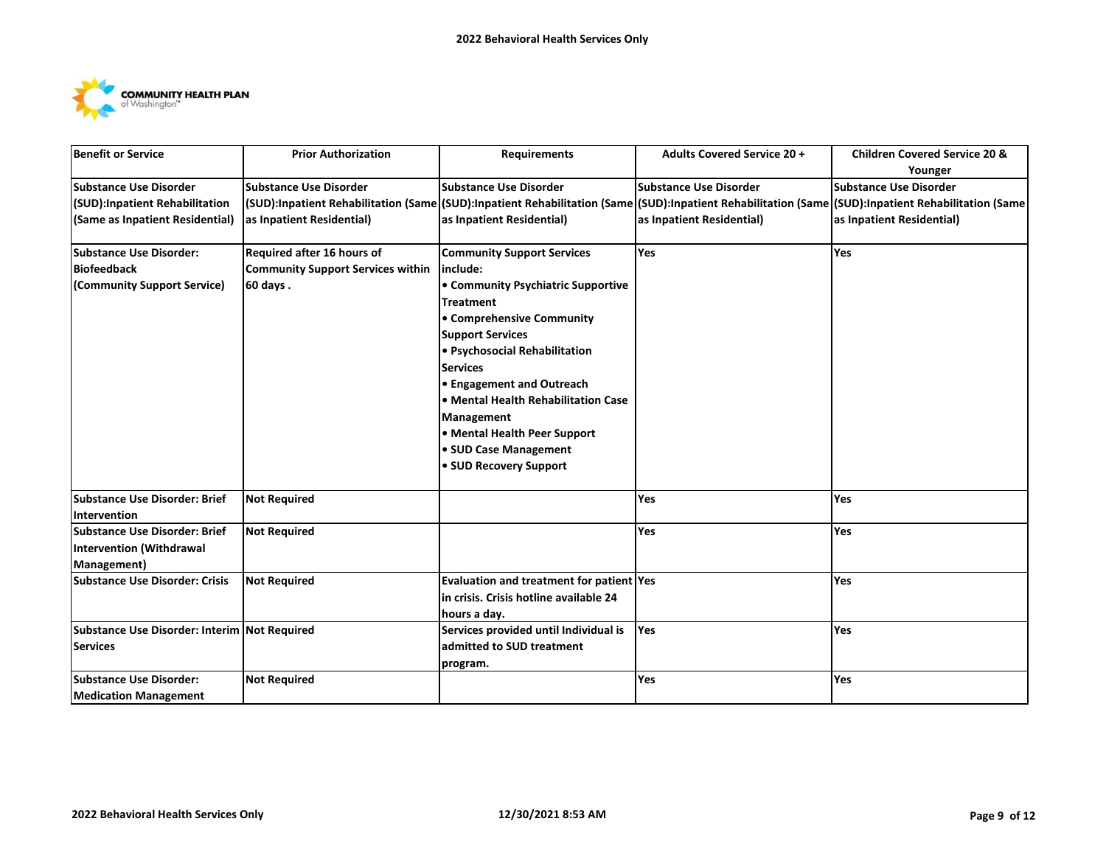

| <b>Benefit or Service</b>                    | <b>Prior Authorization</b>               | <b>Requirements</b>                                                                | Adults Covered Service 20 +                                                                                    | <b>Children Covered Service 20 &amp;</b> |
|----------------------------------------------|------------------------------------------|------------------------------------------------------------------------------------|----------------------------------------------------------------------------------------------------------------|------------------------------------------|
|                                              |                                          |                                                                                    |                                                                                                                | Younger                                  |
| Substance Use Disorder                       | <b>Substance Use Disorder</b>            | <b>Substance Use Disorder</b>                                                      | <b>Substance Use Disorder</b>                                                                                  | <b>Substance Use Disorder</b>            |
| (SUD):Inpatient Rehabilitation               |                                          |                                                                                    | (SUD):Inpatient Rehabilitation (Same (SUD):Inpatient Rehabilitation (Same (SUD):Inpatient Rehabilitation (Same | (SUD):Inpatient Rehabilitation (Same     |
| (Same as Inpatient Residential)              | as Inpatient Residential)                | as Inpatient Residential)                                                          | as Inpatient Residential)                                                                                      | as Inpatient Residential)                |
| <b>Substance Use Disorder:</b>               | Required after 16 hours of               | <b>Community Support Services</b>                                                  | <b>Yes</b>                                                                                                     | Yes                                      |
| Biofeedback                                  | <b>Community Support Services within</b> | include:                                                                           |                                                                                                                |                                          |
| (Community Support Service)                  | 60 days.                                 | • Community Psychiatric Supportive<br><b>Treatment</b>                             |                                                                                                                |                                          |
|                                              |                                          | • Comprehensive Community                                                          |                                                                                                                |                                          |
|                                              |                                          | <b>Support Services</b>                                                            |                                                                                                                |                                          |
|                                              |                                          | • Psychosocial Rehabilitation                                                      |                                                                                                                |                                          |
|                                              |                                          | <b>Services</b>                                                                    |                                                                                                                |                                          |
|                                              |                                          | • Engagement and Outreach                                                          |                                                                                                                |                                          |
|                                              |                                          | • Mental Health Rehabilitation Case                                                |                                                                                                                |                                          |
|                                              |                                          | Management                                                                         |                                                                                                                |                                          |
|                                              |                                          | • Mental Health Peer Support                                                       |                                                                                                                |                                          |
|                                              |                                          | • SUD Case Management                                                              |                                                                                                                |                                          |
|                                              |                                          | • SUD Recovery Support                                                             |                                                                                                                |                                          |
| <b>Substance Use Disorder: Brief</b>         | <b>Not Required</b>                      |                                                                                    | Yes                                                                                                            | Yes                                      |
| Intervention                                 |                                          |                                                                                    |                                                                                                                |                                          |
| Substance Use Disorder: Brief                | <b>Not Required</b>                      |                                                                                    | Yes                                                                                                            | Yes                                      |
| <b>Intervention (Withdrawal</b>              |                                          |                                                                                    |                                                                                                                |                                          |
| Management)                                  |                                          |                                                                                    |                                                                                                                |                                          |
| <b>Substance Use Disorder: Crisis</b>        | <b>Not Required</b>                      | Evaluation and treatment for patient Yes<br>in crisis. Crisis hotline available 24 |                                                                                                                | Yes                                      |
|                                              |                                          | hours a day.                                                                       |                                                                                                                |                                          |
| Substance Use Disorder: Interim Not Required |                                          | Services provided until Individual is                                              | <b>Yes</b>                                                                                                     | Yes                                      |
| <b>Services</b>                              |                                          | admitted to SUD treatment                                                          |                                                                                                                |                                          |
|                                              |                                          | program.                                                                           |                                                                                                                |                                          |
| <b>Substance Use Disorder:</b>               | <b>Not Required</b>                      |                                                                                    | Yes                                                                                                            | Yes                                      |
| <b>Medication Management</b>                 |                                          |                                                                                    |                                                                                                                |                                          |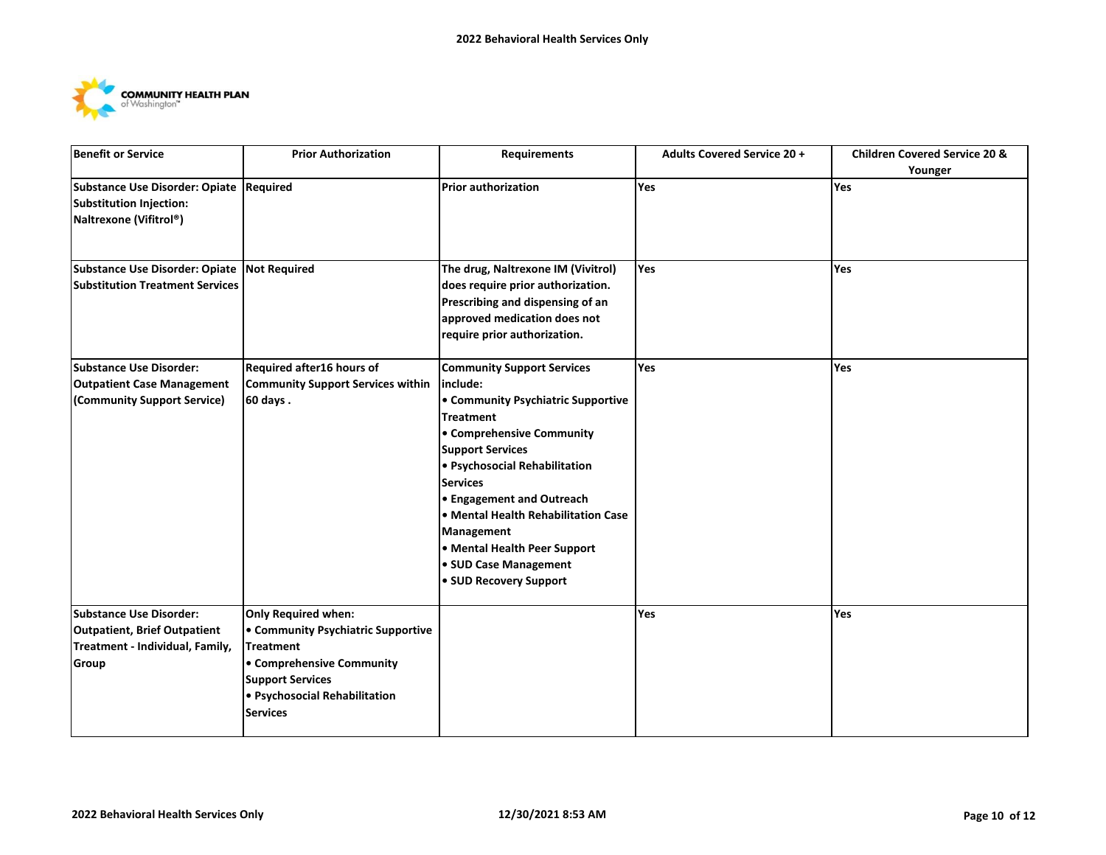

| <b>Benefit or Service</b>                                                                                  | <b>Prior Authorization</b>                                                                                                                                                                       | <b>Requirements</b>                                                                                                                                                                                                                                                                                                                                                                      | <b>Adults Covered Service 20 +</b> | <b>Children Covered Service 20 &amp;</b><br>Younger |
|------------------------------------------------------------------------------------------------------------|--------------------------------------------------------------------------------------------------------------------------------------------------------------------------------------------------|------------------------------------------------------------------------------------------------------------------------------------------------------------------------------------------------------------------------------------------------------------------------------------------------------------------------------------------------------------------------------------------|------------------------------------|-----------------------------------------------------|
| Substance Use Disorder: Opiate Required<br>Substitution Injection:<br>Naltrexone (Vifitrol®)               |                                                                                                                                                                                                  | <b>Prior authorization</b>                                                                                                                                                                                                                                                                                                                                                               | Yes                                | Yes                                                 |
| Substance Use Disorder: Opiate Not Required<br><b>Substitution Treatment Services</b>                      |                                                                                                                                                                                                  | The drug, Naltrexone IM (Vivitrol)<br>does require prior authorization.<br>Prescribing and dispensing of an<br>approved medication does not<br>require prior authorization.                                                                                                                                                                                                              | Yes                                | Yes                                                 |
| Substance Use Disorder:<br><b>Outpatient Case Management</b><br>(Community Support Service)                | Required after16 hours of<br><b>Community Support Services within</b><br>60 days.                                                                                                                | <b>Community Support Services</b><br>include:<br>• Community Psychiatric Supportive<br><b>Treatment</b><br>• Comprehensive Community<br><b>Support Services</b><br>• Psychosocial Rehabilitation<br><b>Services</b><br>• Engagement and Outreach<br>• Mental Health Rehabilitation Case<br>Management<br>• Mental Health Peer Support<br>• SUD Case Management<br>• SUD Recovery Support | Yes                                | Yes                                                 |
| <b>Substance Use Disorder:</b><br>Outpatient, Brief Outpatient<br>Treatment - Individual, Family,<br>Group | <b>Only Required when:</b><br>• Community Psychiatric Supportive<br><b>Treatment</b><br>• Comprehensive Community<br><b>Support Services</b><br>· Psychosocial Rehabilitation<br><b>Services</b> |                                                                                                                                                                                                                                                                                                                                                                                          | Yes                                | Yes                                                 |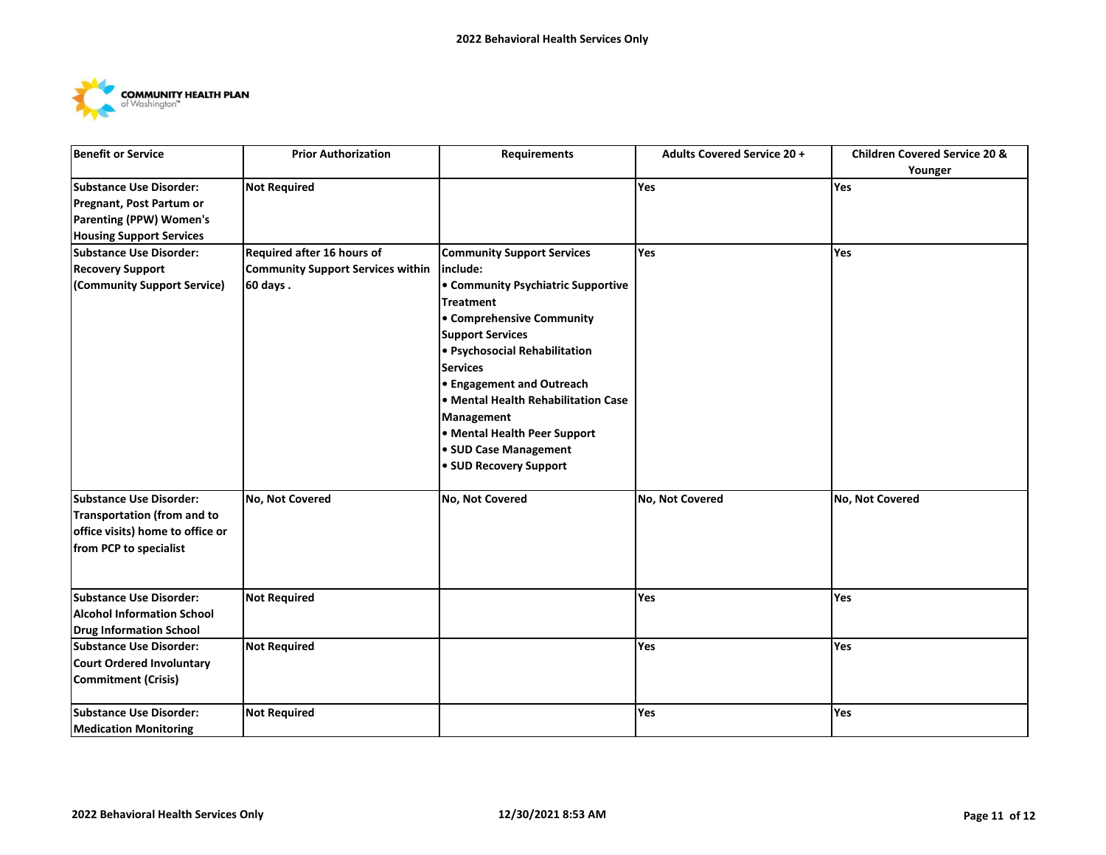

| <b>Benefit or Service</b>         | <b>Prior Authorization</b>               | <b>Requirements</b>                 | <b>Adults Covered Service 20 +</b> | <b>Children Covered Service 20 &amp;</b> |
|-----------------------------------|------------------------------------------|-------------------------------------|------------------------------------|------------------------------------------|
|                                   |                                          |                                     |                                    | Younger                                  |
| Substance Use Disorder:           | <b>Not Required</b>                      |                                     | Yes                                | Yes                                      |
| Pregnant, Post Partum or          |                                          |                                     |                                    |                                          |
| Parenting (PPW) Women's           |                                          |                                     |                                    |                                          |
| <b>Housing Support Services</b>   |                                          |                                     |                                    |                                          |
| Substance Use Disorder:           | Required after 16 hours of               | <b>Community Support Services</b>   | Yes                                | Yes                                      |
| <b>Recovery Support</b>           | <b>Community Support Services within</b> | include:                            |                                    |                                          |
| (Community Support Service)       | 60 days.                                 | • Community Psychiatric Supportive  |                                    |                                          |
|                                   |                                          | <b>Treatment</b>                    |                                    |                                          |
|                                   |                                          | • Comprehensive Community           |                                    |                                          |
|                                   |                                          | <b>Support Services</b>             |                                    |                                          |
|                                   |                                          | • Psychosocial Rehabilitation       |                                    |                                          |
|                                   |                                          | <b>Services</b>                     |                                    |                                          |
|                                   |                                          | • Engagement and Outreach           |                                    |                                          |
|                                   |                                          | • Mental Health Rehabilitation Case |                                    |                                          |
|                                   |                                          | Management                          |                                    |                                          |
|                                   |                                          | • Mental Health Peer Support        |                                    |                                          |
|                                   |                                          | • SUD Case Management               |                                    |                                          |
|                                   |                                          | • SUD Recovery Support              |                                    |                                          |
|                                   |                                          |                                     |                                    |                                          |
| Substance Use Disorder:           | No, Not Covered                          | No, Not Covered                     | <b>No, Not Covered</b>             | No, Not Covered                          |
| Transportation (from and to       |                                          |                                     |                                    |                                          |
| office visits) home to office or  |                                          |                                     |                                    |                                          |
| from PCP to specialist            |                                          |                                     |                                    |                                          |
|                                   |                                          |                                     |                                    |                                          |
|                                   |                                          |                                     |                                    |                                          |
| Substance Use Disorder:           | <b>Not Required</b>                      |                                     | Yes                                | Yes                                      |
| <b>Alcohol Information School</b> |                                          |                                     |                                    |                                          |
| <b>Drug Information School</b>    |                                          |                                     |                                    |                                          |
| Substance Use Disorder:           | <b>Not Required</b>                      |                                     | Yes                                | Yes                                      |
| Court Ordered Involuntary         |                                          |                                     |                                    |                                          |
| Commitment (Crisis)               |                                          |                                     |                                    |                                          |
| Substance Use Disorder:           | <b>Not Required</b>                      |                                     | Yes                                | Yes                                      |
| <b>Medication Monitoring</b>      |                                          |                                     |                                    |                                          |